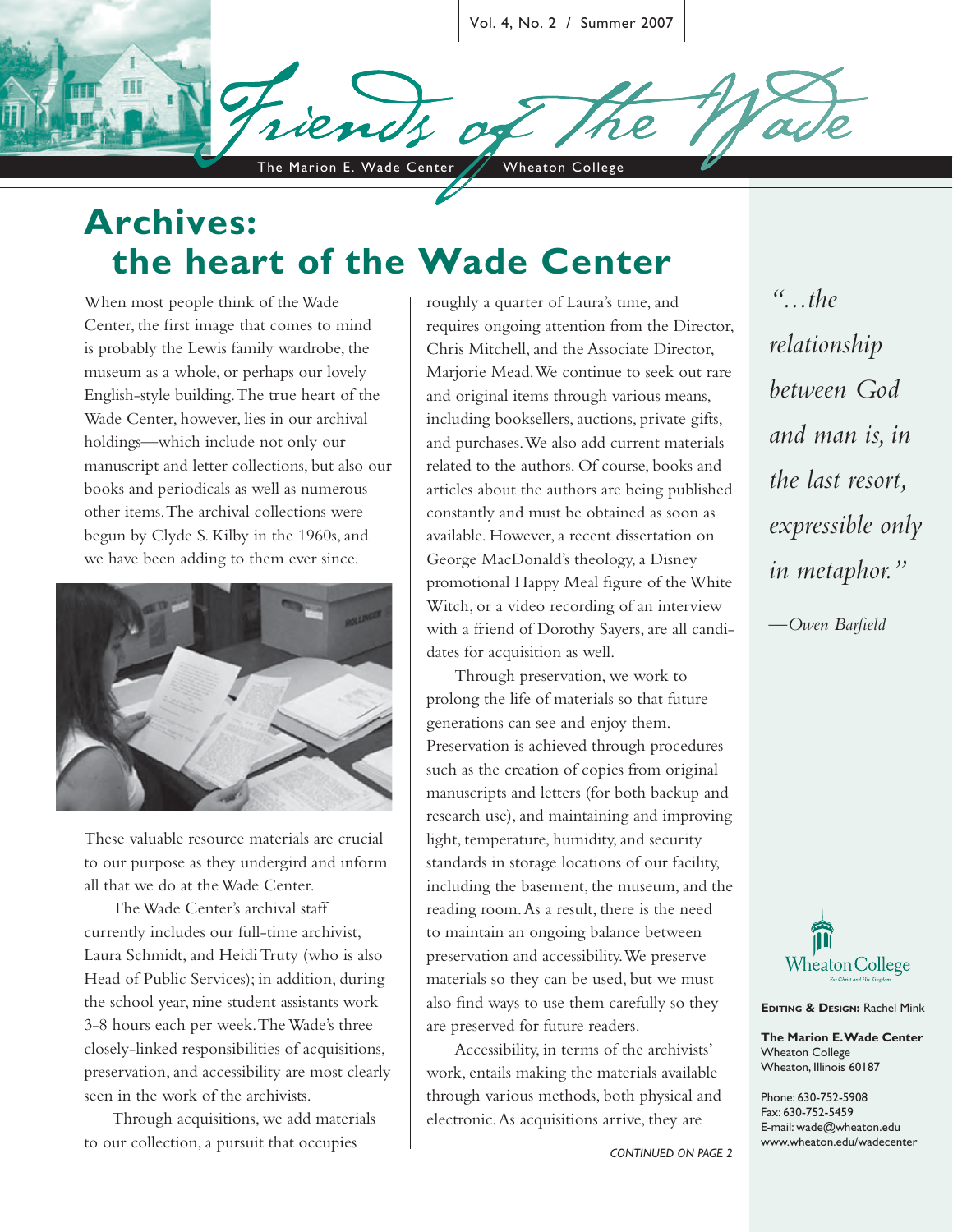Vol. 4, No. 2 / Summer 2007

The Marion E. Wade Center // Wheaton College

# **Archives: the heart of the Wade Center**

When most people think of the Wade Center, the first image that comes to mind is probably the Lewis family wardrobe, the museum as a whole, or perhaps our lovely English-style building. The true heart of the Wade Center, however, lies in our archival holdings—which include not only our manuscript and letter collections, but also our books and periodicals as well as numerous other items. The archival collections were begun by Clyde S. Kilby in the 1960s, and we have been adding to them ever since.



These valuable resource materials are crucial to our purpose as they undergird and inform all that we do at the Wade Center.

The Wade Center's archival staff currently includes our full-time archivist, Laura Schmidt, and Heidi Truty (who is also Head of Public Services); in addition, during the school year, nine student assistants work 3-8 hours each per week. The Wade's three closely-linked responsibilities of acquisitions, preservation, and accessibility are most clearly seen in the work of the archivists.

Through acquisitions, we add materials to our collection, a pursuit that occupies

roughly a quarter of Laura's time, and requires ongoing attention from the Director, Chris Mitchell, and the Associate Director, Marjorie Mead. We continue to seek out rare and original items through various means, including booksellers, auctions, private gifts, and purchases. We also add current materials related to the authors. Of course, books and articles about the authors are being published constantly and must be obtained as soon as available. However, a recent dissertation on George MacDonald's theology, a Disney promotional Happy Meal figure of the White Witch, or a video recording of an interview with a friend of Dorothy Sayers, are all candidates for acquisition as well.

Through preservation, we work to prolong the life of materials so that future generations can see and enjoy them. Preservation is achieved through procedures such as the creation of copies from original manuscripts and letters (for both backup and research use), and maintaining and improving light, temperature, humidity, and security standards in storage locations of our facility, including the basement, the museum, and the reading room. As a result, there is the need to maintain an ongoing balance between preservation and accessibility. We preserve materials so they can be used, but we must also find ways to use them carefully so they are preserved for future readers.

Accessibility, in terms of the archivists' work, entails making the materials available through various methods, both physical and electronic. As acquisitions arrive, they are

*CONTINUED ON PAGE 2*

*"...the relationship between God and man is, in the last resort, expressible only in metaphor."*  $-$ Owen Barfield



**EDITING & DESIGN:** Rachel Mink

**The Marion E. Wade Center** Wheaton College Wheaton, Illinois 60187

Phone: 630-752-5908 Fax: 630-752-5459 E-mail: wade@wheaton.edu www.wheaton.edu/wadecenter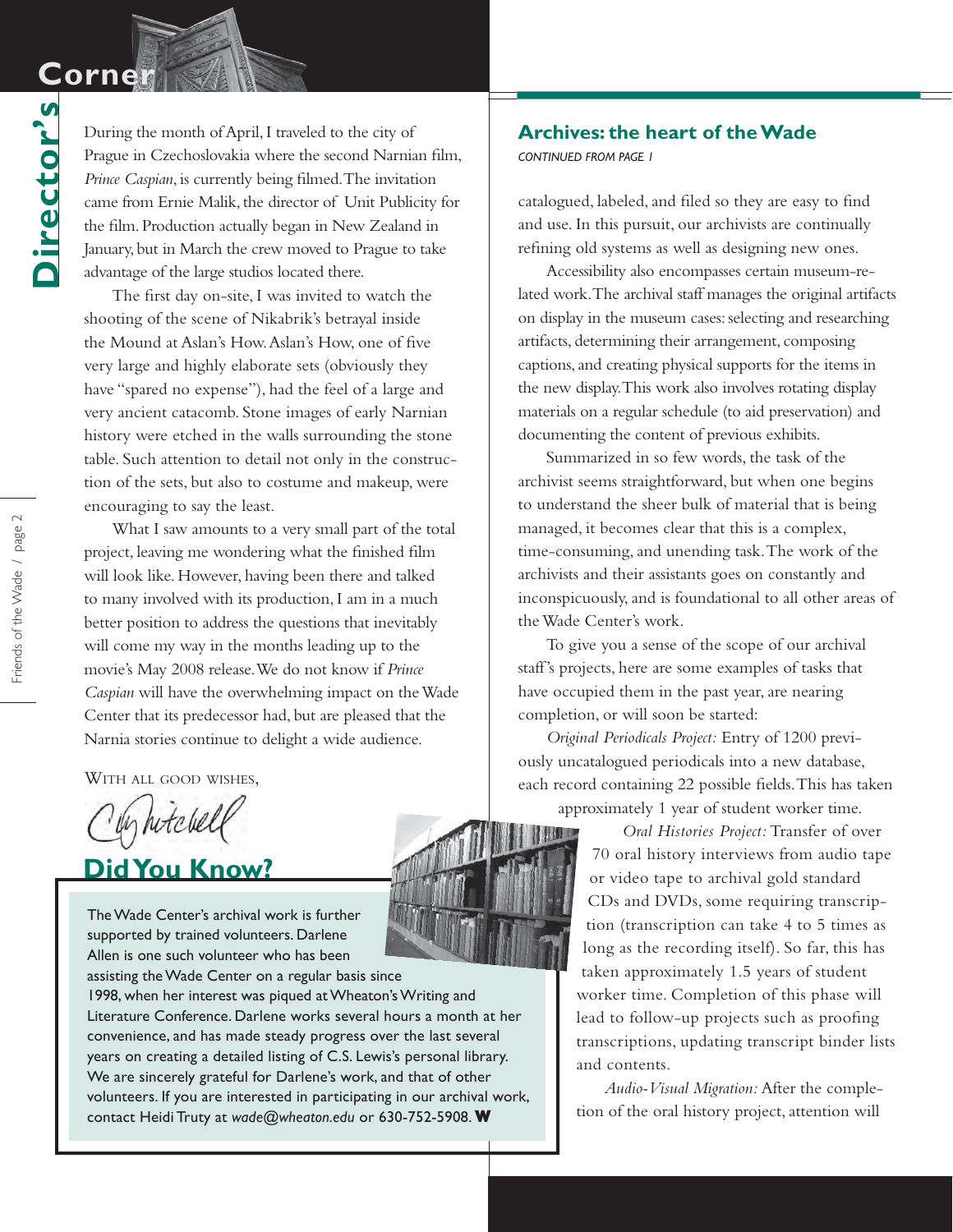# **Corne**

**Director's**

Director's

During the month of April, I traveled to the city of Prague in Czechoslovakia where the second Narnian film, *Prince Caspian,* is currently being filmed. The invitation came from Ernie Malik, the director of Unit Publicity for the film. Production actually began in New Zealand in January, but in March the crew moved to Prague to take advantage of the large studios located there.

The first day on-site, I was invited to watch the shooting of the scene of Nikabrik's betrayal inside the Mound at Aslan's How. Aslan's How, one of five very large and highly elaborate sets (obviously they have "spared no expense"), had the feel of a large and very ancient catacomb. Stone images of early Narnian history were etched in the walls surrounding the stone table. Such attention to detail not only in the construction of the sets, but also to costume and makeup, were encouraging to say the least.

What I saw amounts to a very small part of the total project, leaving me wondering what the finished film will look like. However, having been there and talked to many involved with its production, I am in a much better position to address the questions that inevitably will come my way in the months leading up to the movie's May 2008 release. We do not know if *Prince Caspian* will have the overwhelming impact on the Wade Center that its predecessor had, but are pleased that the Narnia stories continue to delight a wide audience.

WITH ALL GOOD WISHES,

y hitchell

## **Did You Know?**

The Wade Center's archival work is further supported by trained volunteers. Darlene Allen is one such volunteer who has been

assisting the Wade Center on a regular basis since 1998, when her interest was piqued at Wheaton's Writing and Literature Conference. Darlene works several hours a month at her convenience, and has made steady progress over the last several years on creating a detailed listing of C.S. Lewis's personal library. We are sincerely grateful for Darlene's work, and that of other volunteers. If you are interested in participating in our archival work, contact Heidi Truty at *wade@wheaton.edu* or 630-752-5908.**W**

#### **Archives: the heart of the Wade**

*CONTINUED FROM PAGE 1*

catalogued, labeled, and filed so they are easy to find and use. In this pursuit, our archivists are continually refining old systems as well as designing new ones.

Accessibility also encompasses certain museum-related work. The archival staff manages the original artifacts on display in the museum cases: selecting and researching artifacts, determining their arrangement, composing captions, and creating physical supports for the items in the new display. This work also involves rotating display materials on a regular schedule (to aid preservation) and documenting the content of previous exhibits.

Summarized in so few words, the task of the archivist seems straightforward, but when one begins to understand the sheer bulk of material that is being managed, it becomes clear that this is a complex, time-consuming, and unending task. The work of the archivists and their assistants goes on constantly and inconspicuously, and is foundational to all other areas of the Wade Center's work.

To give you a sense of the scope of our archival staff's projects, here are some examples of tasks that have occupied them in the past year, are nearing completion, or will soon be started:

*Original Periodicals Project:* Entry of 1200 previously uncatalogued periodicals into a new database, each record containing 22 possible fields. This has taken approximately 1 year of student worker time.

> *Oral Histories Project:* Transfer of over 70 oral history interviews from audio tape or video tape to archival gold standard CDs and DVDs, some requiring transcription (transcription can take 4 to 5 times as long as the recording itself). So far, this has taken approximately 1.5 years of student worker time. Completion of this phase will lead to follow-up projects such as proofing transcriptions, updating transcript binder lists and contents.

*Audio-Visual Migration:* After the completion of the oral history project, attention will

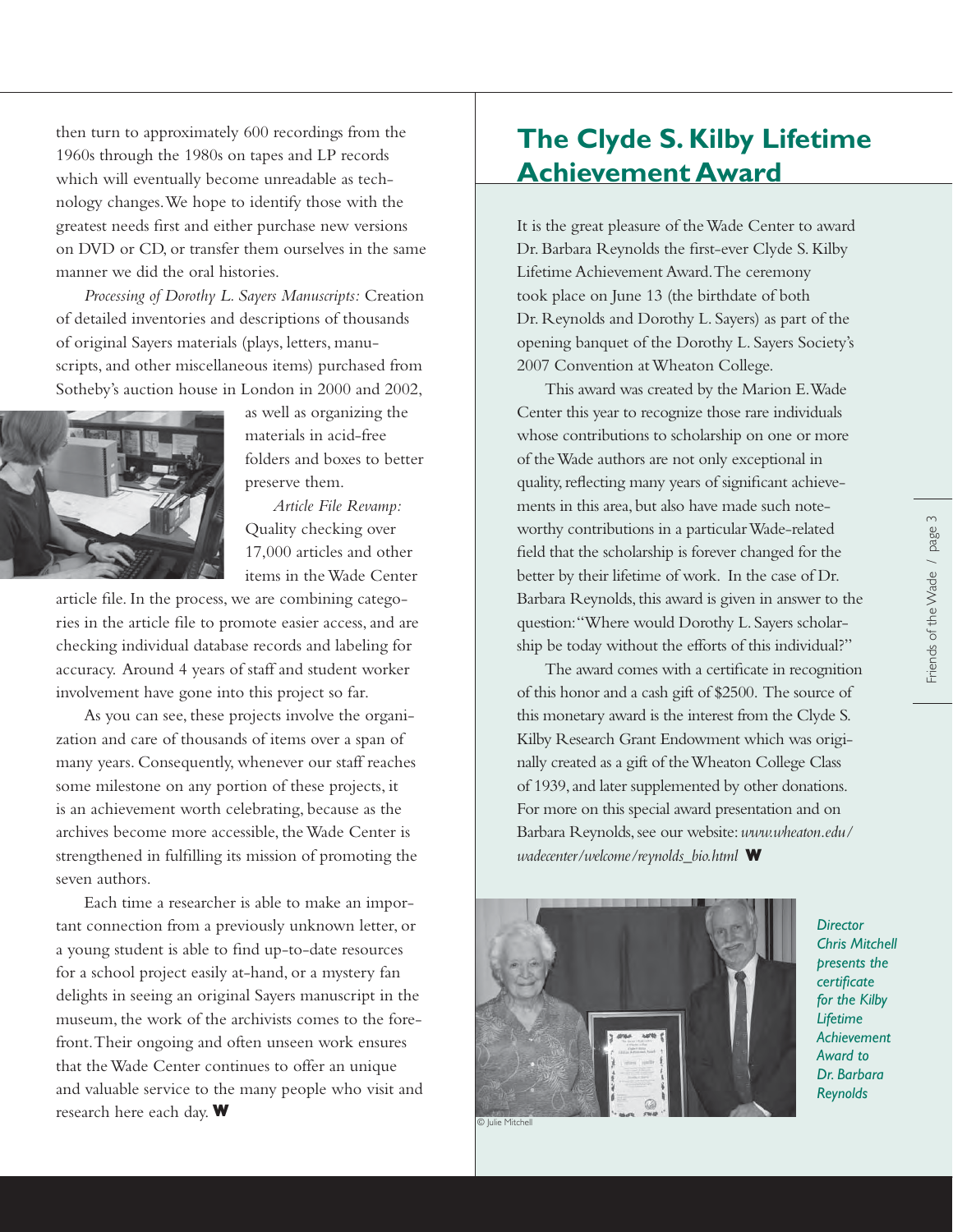then turn to approximately 600 recordings from the 1960s through the 1980s on tapes and LP records which will eventually become unreadable as technology changes. We hope to identify those with the greatest needs first and either purchase new versions on DVD or CD, or transfer them ourselves in the same manner we did the oral histories.

*Processing of Dorothy L. Sayers Manuscripts:* Creation of detailed inventories and descriptions of thousands of original Sayers materials (plays, letters, manuscripts, and other miscellaneous items) purchased from Sotheby's auction house in London in 2000 and 2002,



as well as organizing the materials in acid-free folders and boxes to better preserve them.

*Article File Revamp:*  Quality checking over 17,000 articles and other items in the Wade Center

article file. In the process, we are combining categories in the article file to promote easier access, and are checking individual database records and labeling for accuracy. Around 4 years of staff and student worker involvement have gone into this project so far.

As you can see, these projects involve the organization and care of thousands of items over a span of many years. Consequently, whenever our staff reaches some milestone on any portion of these projects, it is an achievement worth celebrating, because as the archives become more accessible, the Wade Center is strengthened in fulfilling its mission of promoting the seven authors.

Each time a researcher is able to make an important connection from a previously unknown letter, or a young student is able to find up-to-date resources for a school project easily at-hand, or a mystery fan delights in seeing an original Sayers manuscript in the museum, the work of the archivists comes to the forefront. Their ongoing and often unseen work ensures that the Wade Center continues to offer an unique and valuable service to the many people who visit and research here each day. **W**

## **The Clyde S. Kilby Lifetime Achievement Award**

It is the great pleasure of the Wade Center to award Dr. Barbara Reynolds the first-ever Clyde S. Kilby Lifetime Achievement Award. The ceremony took place on June 13 (the birthdate of both Dr. Reynolds and Dorothy L. Sayers) as part of the opening banquet of the Dorothy L. Sayers Society's 2007 Convention at Wheaton College.

This award was created by the Marion E. Wade Center this year to recognize those rare individuals whose contributions to scholarship on one or more of the Wade authors are not only exceptional in quality, reflecting many years of significant achievements in this area, but also have made such noteworthy contributions in a particular Wade-related field that the scholarship is forever changed for the better by their lifetime of work. In the case of Dr. Barbara Reynolds, this award is given in answer to the question: "Where would Dorothy L. Sayers scholarship be today without the efforts of this individual?"

The award comes with a certificate in recognition of this honor and a cash gift of \$2500. The source of this monetary award is the interest from the Clyde S. Kilby Research Grant Endowment which was originally created as a gift of the Wheaton College Class of 1939, and later supplemented by other donations. For more on this special award presentation and on Barbara Reynolds, see our website: *www.wheaton.edu/ wadecenter/welcome/reynolds\_bio.html* **W**



*Director Chris Mitchell presents the certifi cate for the Kilby Lifetime Achievement Award to Dr. Barbara Reynolds*

© Julie Mitchell